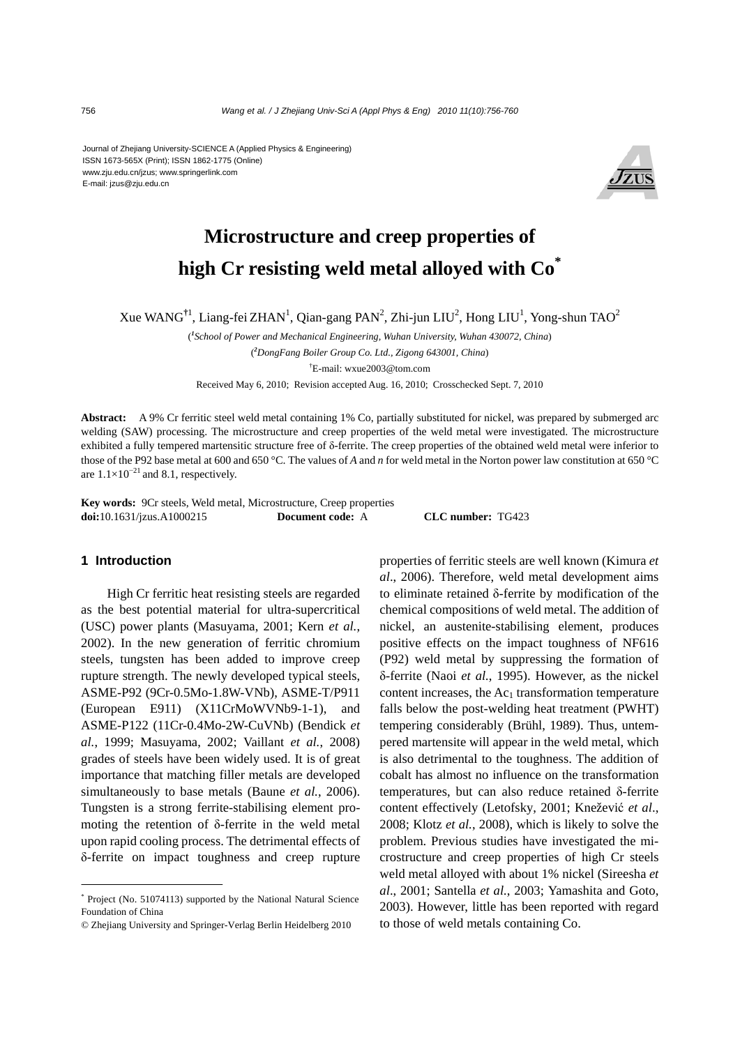Journal of Zhejiang University-SCIENCE A (Applied Physics & Engineering) ISSN 1673-565X (Print); ISSN 1862-1775 (Online) www.zju.edu.cn/jzus; www.springerlink.com E-mail: jzus@zju.edu.cn



# **Microstructure and creep properties of high Cr resisting weld metal alloyed with Co\***

Xue WANG<sup>†1</sup>, Liang-fei ZHAN<sup>1</sup>, Qian-gang PAN<sup>2</sup>, Zhi-jun LIU<sup>2</sup>, Hong LIU<sup>1</sup>, Yong-shun TAO<sup>2</sup>

( *1 School of Power and Mechanical Engineering, Wuhan University, Wuhan 430072, China*)

( *2 DongFang Boiler Group Co. Ltd., Zigong 643001, China*)

† E-mail: wxue2003@tom.com

Received May 6, 2010; Revision accepted Aug. 16, 2010; Crosschecked Sept. 7, 2010

**Abstract:** A 9% Cr ferritic steel weld metal containing 1% Co, partially substituted for nickel, was prepared by submerged arc welding (SAW) processing. The microstructure and creep properties of the weld metal were investigated. The microstructure exhibited a fully tempered martensitic structure free of δ-ferrite. The creep properties of the obtained weld metal were inferior to those of the P92 base metal at 600 and 650 °C. The values of *A* and *n* for weld metal in the Norton power law constitution at 650 °C are  $1.1\times10^{-21}$  and 8.1, respectively.

**Key words:** 9Cr steels, Weld metal, Microstructure, Creep properties **doi:**10.1631/jzus.A1000215 **Document code:** A **CLC number:** TG423

#### **1 Introduction**

High Cr ferritic heat resisting steels are regarded as the best potential material for ultra-supercritical (USC) power plants (Masuyama, 2001; Kern *et al.*, 2002). In the new generation of ferritic chromium steels, tungsten has been added to improve creep rupture strength. The newly developed typical steels, ASME-P92 (9Cr-0.5Mo-1.8W-VNb), ASME-T/P911 (European E911) (X11CrMoWVNb9-1-1), and ASME-P122 (11Cr-0.4Mo-2W-CuVNb) (Bendick *et al.*, 1999; Masuyama, 2002; Vaillant *et al.*, 2008) grades of steels have been widely used. It is of great importance that matching filler metals are developed simultaneously to base metals (Baune *et al.*, 2006). Tungsten is a strong ferrite-stabilising element promoting the retention of δ-ferrite in the weld metal upon rapid cooling process. The detrimental effects of δ-ferrite on impact toughness and creep rupture

properties of ferritic steels are well known (Kimura *et al*., 2006). Therefore, weld metal development aims to eliminate retained δ-ferrite by modification of the chemical compositions of weld metal. The addition of nickel, an austenite-stabilising element, produces positive effects on the impact toughness of NF616 (P92) weld metal by suppressing the formation of δ-ferrite (Naoi *et al.*, 1995). However, as the nickel content increases, the  $Ac<sub>1</sub>$  transformation temperature falls below the post-welding heat treatment (PWHT) tempering considerably (Brühl, 1989). Thus, untempered martensite will appear in the weld metal, which is also detrimental to the toughness. The addition of cobalt has almost no influence on the transformation temperatures, but can also reduce retained δ-ferrite content effectively (Letofsky, 2001; Knežević *et al*., 2008; Klotz *et al.*, 2008), which is likely to solve the problem. Previous studies have investigated the microstructure and creep properties of high Cr steels weld metal alloyed with about 1% nickel (Sireesha *et al*., 2001; Santella *et al.*, 2003; Yamashita and Goto, 2003). However, little has been reported with regard to those of weld metals containing Co.

<sup>\*</sup> Project (No. 51074113) supported by the National Natural Science Foundation of China

<sup>©</sup> Zhejiang University and Springer-Verlag Berlin Heidelberg 2010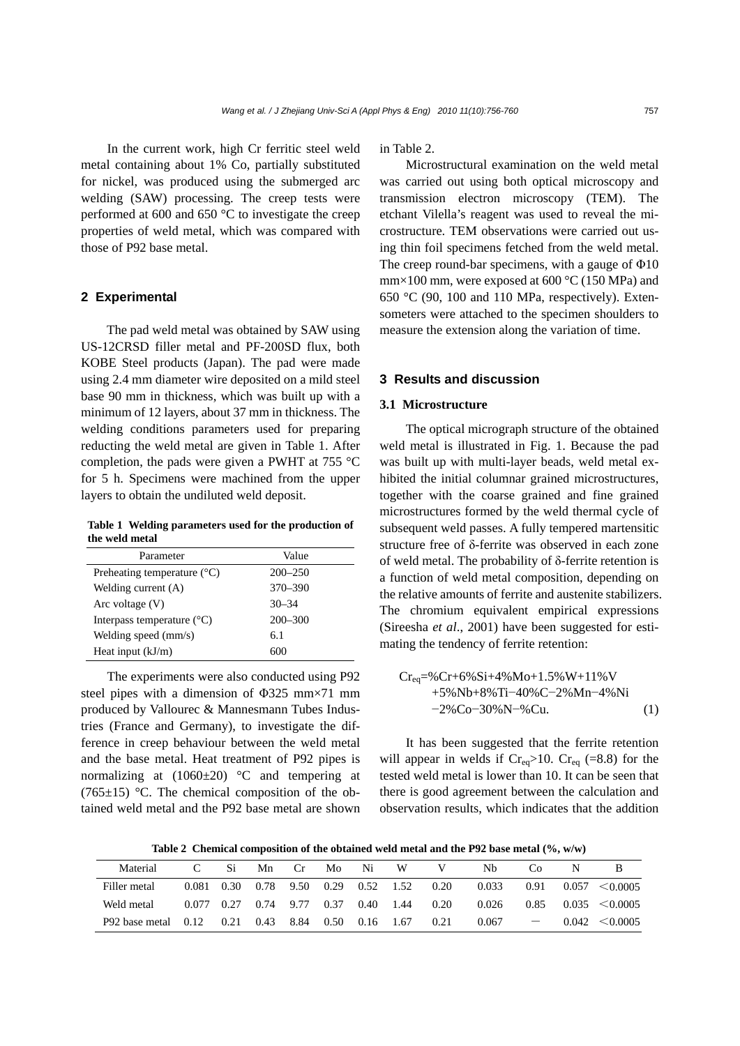In the current work, high Cr ferritic steel weld metal containing about 1% Co, partially substituted for nickel, was produced using the submerged arc welding (SAW) processing. The creep tests were performed at 600 and 650 °C to investigate the creep properties of weld metal, which was compared with those of P92 base metal.

# **2 Experimental**

The pad weld metal was obtained by SAW using US-12CRSD filler metal and PF-200SD flux, both KOBE Steel products (Japan). The pad were made using 2.4 mm diameter wire deposited on a mild steel base 90 mm in thickness, which was built up with a minimum of 12 layers, about 37 mm in thickness. The welding conditions parameters used for preparing reducting the weld metal are given in Table 1. After completion, the pads were given a PWHT at 755 °C for 5 h. Specimens were machined from the upper layers to obtain the undiluted weld deposit.

**Table 1 Welding parameters used for the production of the weld metal**

| Parameter                             | Value       |
|---------------------------------------|-------------|
| Preheating temperature $(^{\circ}C)$  | $200 - 250$ |
| Welding current $(A)$                 | $370 - 390$ |
| Arc voltage $(V)$                     | $30 - 34$   |
| Interpass temperature $({}^{\circ}C)$ | $200 - 300$ |
| Welding speed (mm/s)                  | 6.1         |
| Heat input $(kJ/m)$                   | 600         |

The experiments were also conducted using P92 steel pipes with a dimension of  $\Phi$ 325 mm×71 mm produced by Vallourec & Mannesmann Tubes Industries (France and Germany), to investigate the difference in creep behaviour between the weld metal and the base metal. Heat treatment of P92 pipes is normalizing at  $(1060\pm20)$  °C and tempering at (765 $\pm$ 15) °C. The chemical composition of the obtained weld metal and the P92 base metal are shown in Table 2.

Microstructural examination on the weld metal was carried out using both optical microscopy and transmission electron microscopy (TEM). The etchant Vilella's reagent was used to reveal the microstructure. TEM observations were carried out using thin foil specimens fetched from the weld metal. The creep round-bar specimens, with a gauge of Φ10 mm×100 mm, were exposed at 600  $^{\circ}$ C (150 MPa) and 650 °C (90, 100 and 110 MPa, respectively). Extensometers were attached to the specimen shoulders to measure the extension along the variation of time.

# **3 Results and discussion**

# **3.1 Microstructure**

The optical micrograph structure of the obtained weld metal is illustrated in Fig. 1. Because the pad was built up with multi-layer beads, weld metal exhibited the initial columnar grained microstructures, together with the coarse grained and fine grained microstructures formed by the weld thermal cycle of subsequent weld passes. A fully tempered martensitic structure free of δ-ferrite was observed in each zone of weld metal. The probability of δ-ferrite retention is a function of weld metal composition, depending on the relative amounts of ferrite and austenite stabilizers. The chromium equivalent empirical expressions (Sireesha *et al*., 2001) have been suggested for estimating the tendency of ferrite retention:

$$
Cr_{eq} = %Cr + 6%Si + 4%Mo + 1.5%W + 11%V + 5%Nb + 8%Ti - 40%C - 2%Mn - 4%Ni - 2%Co - 30%N - %Cu.
$$
 (1)

It has been suggested that the ferrite retention will appear in welds if  $Cr_{eq} > 10$ .  $Cr_{eq}$  (=8.8) for the tested weld metal is lower than 10. It can be seen that there is good agreement between the calculation and observation results, which indicates that the addition

Table 2 Chemical composition of the obtained weld metal and the P92 base metal (%, w/w)

| Material            |       | Si   | Mn        | Cr.       | Mo.  | Ni          | W      |      | Nb    | C`O  | N |                     |
|---------------------|-------|------|-----------|-----------|------|-------------|--------|------|-------|------|---|---------------------|
| Filler metal        | 0.081 |      | 0.30 0.78 | 9.50 0.29 |      | $0.52$ 1.52 |        | 0.20 | 0.033 | 0.91 |   | $0.057 \le 0.0005$  |
| Weld metal          | 0.077 | 0.27 | 0.74      | 9.77      | 0.37 | 0.40        | - 1.44 | 0.20 | 0.026 | 0.85 |   | $0.035 \leq 0.0005$ |
| P92 base metal 0.12 |       | 0.21 | 0.43      | 8.84      | 0.50 | $0.16$ 1.67 |        | 0.21 | 0.067 |      |   | $0.042 \leq 0.0005$ |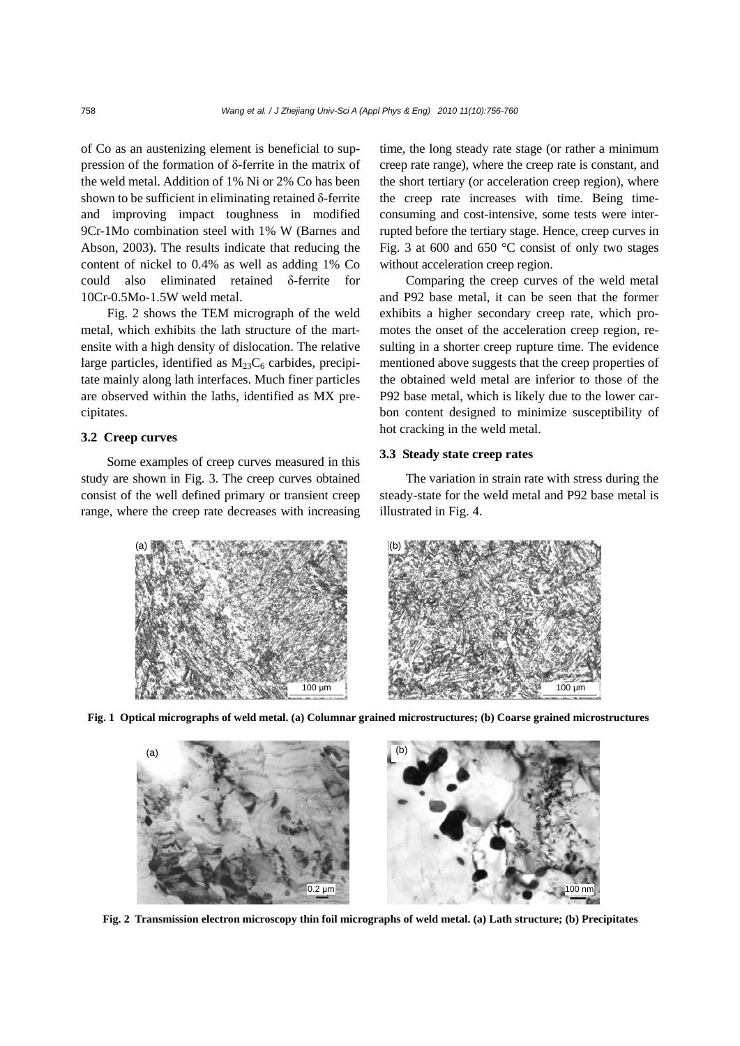of Co as an austenizing element is beneficial to suppression of the formation of δ-ferrite in the matrix of the weld metal. Addition of 1% Ni or 2% Co has been shown to be sufficient in eliminating retained δ-ferrite and improving impact toughness in modified 9Cr-1Mo combination steel with 1% W (Barnes and Abson, 2003). The results indicate that reducing the content of nickel to 0.4% as well as adding 1% Co could also eliminated retained δ-ferrite for 10Cr-0.5Mo-1.5W weld metal.

Fig. 2 shows the TEM micrograph of the weld metal, which exhibits the lath structure of the martensite with a high density of dislocation. The relative large particles, identified as  $M_{23}C_6$  carbides, precipitate mainly along lath interfaces. Much finer particles are observed within the laths, identified as MX precipitates.

### **3.2 Creep curves**

Some examples of creep curves measured in this study are shown in Fig. 3. The creep curves obtained consist of the well defined primary or transient creep range, where the creep rate decreases with increasing time, the long steady rate stage (or rather a minimum creep rate range), where the creep rate is constant, and the short tertiary (or acceleration creep region), where the creep rate increases with time. Being timeconsuming and cost-intensive, some tests were interrupted before the tertiary stage. Hence, creep curves in Fig. 3 at 600 and 650  $\degree$ C consist of only two stages without acceleration creep region.

Comparing the creep curves of the weld metal and P92 base metal, it can be seen that the former exhibits a higher secondary creep rate, which promotes the onset of the acceleration creep region, resulting in a shorter creep rupture time. The evidence mentioned above suggests that the creep properties of the obtained weld metal are inferior to those of the P92 base metal, which is likely due to the lower carbon content designed to minimize susceptibility of hot cracking in the weld metal.

# **3.3 Steady state creep rates**

The variation in strain rate with stress during the steady-state for the weld metal and P92 base metal is illustrated in Fig. 4.



**Fig. 1 Optical micrographs of weld metal. (a) Columnar grained microstructures; (b) Coarse grained microstructures**



**Fig. 2 Transmission electron microscopy thin foil micrographs of weld metal. (a) Lath structure; (b) Precipitates**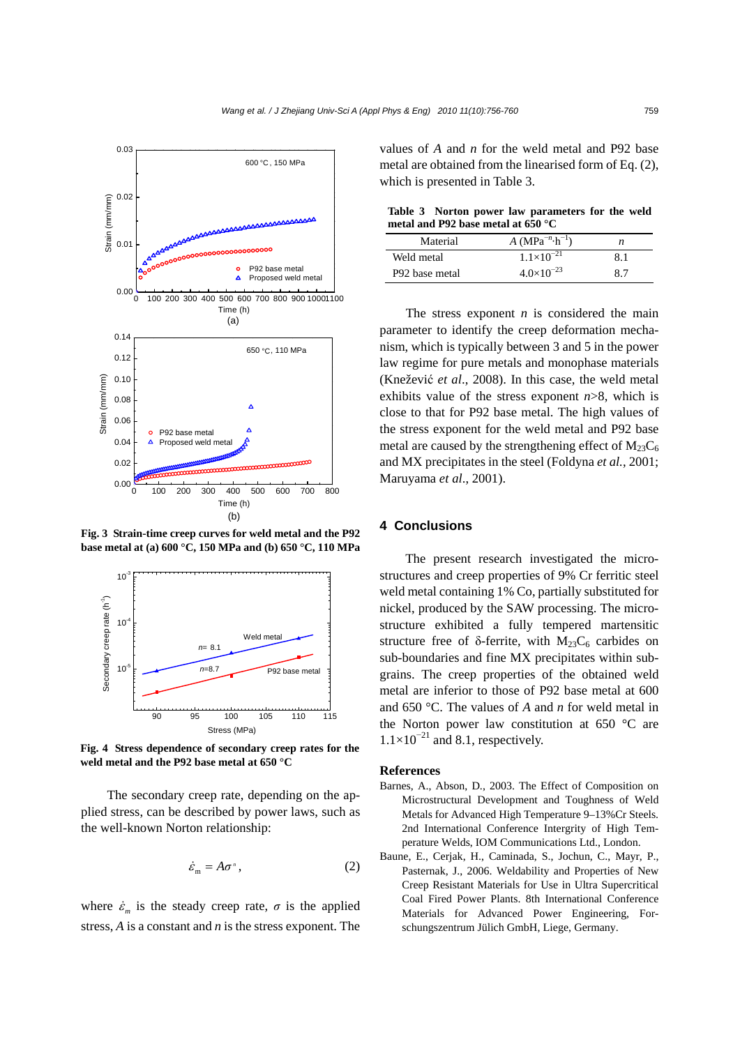

**Fig. 3 Strain-time creep curves for weld metal and the P92 base metal at (a) 600 °C, 150 MPa and (b) 650 °C, 110 MPa**



**Fig. 4 Stress dependence of secondary creep rates for the weld metal and the P92 base metal at 650 °C** 

The secondary creep rate, depending on the applied stress, can be described by power laws, such as the well-known Norton relationship:

$$
\dot{\varepsilon}_{\rm m} = A\sigma^{\rm n} \,, \tag{2}
$$

where  $\dot{\varepsilon}_m$  is the steady creep rate,  $\sigma$  is the applied stress, *A* is a constant and *n* is the stress exponent. The values of *A* and *n* for the weld metal and P92 base metal are obtained from the linearised form of Eq. (2), which is presented in Table 3.

**Table 3 Norton power law parameters for the weld metal and P92 base metal at 650 °C** 

| Material                   | A (MPa <sup>-n</sup> ·h <sup>-1</sup> ) | n   |
|----------------------------|-----------------------------------------|-----|
| Weld metal                 | $1.1\times10^{-21}$                     | 8.1 |
| P <sub>92</sub> base metal | $4.0\times10^{-23}$                     | 8.7 |

The stress exponent *n* is considered the main parameter to identify the creep deformation mechanism, which is typically between 3 and 5 in the power law regime for pure metals and monophase materials (Knežević *et al*., 2008). In this case, the weld metal exhibits value of the stress exponent *n*>8, which is close to that for P92 base metal. The high values of the stress exponent for the weld metal and P92 base metal are caused by the strengthening effect of  $M_{23}C_6$ and MX precipitates in the steel (Foldyna *et al.*, 2001; Maruyama *et al*., 2001).

# **4 Conclusions**

The present research investigated the microstructures and creep properties of 9% Cr ferritic steel weld metal containing 1% Co, partially substituted for nickel, produced by the SAW processing. The microstructure exhibited a fully tempered martensitic structure free of  $\delta$ -ferrite, with M<sub>23</sub>C<sub>6</sub> carbides on sub-boundaries and fine MX precipitates within subgrains. The creep properties of the obtained weld metal are inferior to those of P92 base metal at 600 and 650 °C. The values of *A* and *n* for weld metal in the Norton power law constitution at 650 °C are  $1.1\times10^{-21}$  and 8.1, respectively.

#### **References**

- Barnes, A., Abson, D., 2003. The Effect of Composition on Microstructural Development and Toughness of Weld Metals for Advanced High Temperature 9–13%Cr Steels. 2nd International Conference Intergrity of High Temperature Welds, IOM Communications Ltd., London.
- Baune, E., Cerjak, H., Caminada, S., Jochun, C., Mayr, P., Pasternak, J., 2006. Weldability and Properties of New Creep Resistant Materials for Use in Ultra Supercritical Coal Fired Power Plants. 8th International Conference Materials for Advanced Power Engineering, Forschungszentrum Jülich GmbH, Liege, Germany.